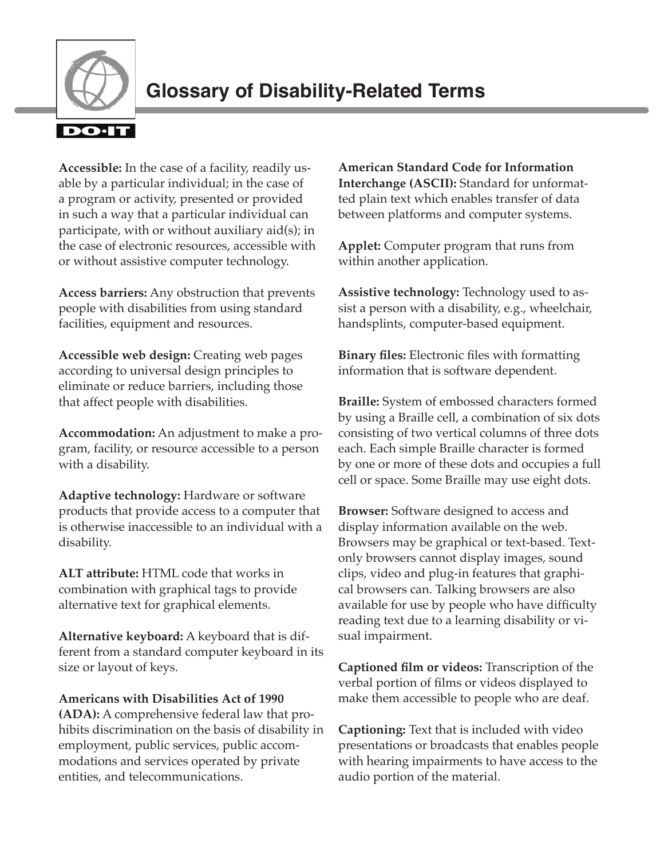

**Accessible:** In the case of a facility, readily usable by a particular individual; in the case of a program or activity, presented or provided in such a way that a particular individual can participate, with or without auxiliary aid(s); in the case of electronic resources, accessible with or without assistive computer technology.

**Access barriers:** Any obstruction that prevents people with disabilities from using standard facilities, equipment and resources.

**Accessible web design:** Creating web pages according to universal design principles to eliminate or reduce barriers, including those that affect people with disabilities.

**Accommodation:** An adjustment to make a program, facility, or resource accessible to a person with a disability.

**Adaptive technology:** Hardware or software products that provide access to a computer that is otherwise inaccessible to an individual with a disability.

**ALT attribute:** HTML code that works in combination with graphical tags to provide alternative text for graphical elements.

**Alternative keyboard:** A keyboard that is different from a standard computer keyboard in its size or layout of keys.

**Americans with Disabilities Act of 1990 (ADA):** A comprehensive federal law that prohibits discrimination on the basis of disability in employment, public services, public accommodations and services operated by private entities, and telecommunications.

**American Standard Code for Information Interchange (ASCII):** Standard for unformatted plain text which enables transfer of data between platforms and computer systems.

**Applet:** Computer program that runs from within another application.

**Assistive technology:** Technology used to assist a person with a disability, e.g., wheelchair, handsplints, computer-based equipment.

**Binary files:** Electronic files with formatting information that is software dependent.

**Braille:** System of embossed characters formed by using a Braille cell, a combination of six dots consisting of two vertical columns of three dots each. Each simple Braille character is formed by one or more of these dots and occupies a full cell or space. Some Braille may use eight dots.

**Browser:** Software designed to access and display information available on the web. Browsers may be graphical or text-based. Textonly browsers cannot display images, sound clips, video and plug-in features that graphical browsers can. Talking browsers are also available for use by people who have difficulty reading text due to a learning disability or visual impairment.

**Captioned film or videos:** Transcription of the verbal portion of films or videos displayed to make them accessible to people who are deaf.

**Captioning:** Text that is included with video presentations or broadcasts that enables people with hearing impairments to have access to the audio portion of the material.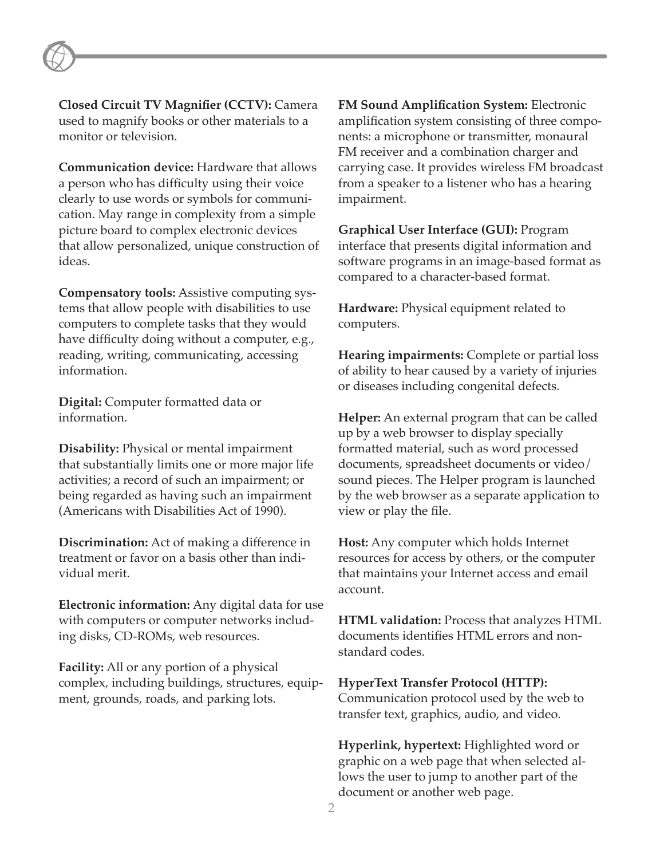**Closed Circuit TV Magnifier (CCTV):** Camera used to magnify books or other materials to a monitor or television.

**Communication device:** Hardware that allows a person who has difficulty using their voice clearly to use words or symbols for communication. May range in complexity from a simple picture board to complex electronic devices that allow personalized, unique construction of ideas.

**Compensatory tools:** Assistive computing systems that allow people with disabilities to use computers to complete tasks that they would have difficulty doing without a computer, e.g., reading, writing, communicating, accessing information.

**Digital:** Computer formatted data or information.

**Disability:** Physical or mental impairment that substantially limits one or more major life activities; a record of such an impairment; or being regarded as having such an impairment (Americans with Disabilities Act of 1990).

**Discrimination:** Act of making a difference in treatment or favor on a basis other than individual merit.

**Electronic information:** Any digital data for use with computers or computer networks including disks, CD-ROMs, web resources.

**Facility:** All or any portion of a physical complex, including buildings, structures, equipment, grounds, roads, and parking lots.

**FM Sound Amplification System:** Electronic amplification system consisting of three components: a microphone or transmitter, monaural FM receiver and a combination charger and carrying case. It provides wireless FM broadcast from a speaker to a listener who has a hearing impairment.

**Graphical User Interface (GUI):** Program interface that presents digital information and software programs in an image-based format as compared to a character-based format.

**Hardware:** Physical equipment related to computers.

**Hearing impairments:** Complete or partial loss of ability to hear caused by a variety of injuries or diseases including congenital defects.

**Helper:** An external program that can be called up by a web browser to display specially formatted material, such as word processed documents, spreadsheet documents or video/ sound pieces. The Helper program is launched by the web browser as a separate application to view or play the file.

**Host:** Any computer which holds Internet resources for access by others, or the computer that maintains your Internet access and email account.

**HTML validation:** Process that analyzes HTML documents identifies HTML errors and nonstandard codes.

**HyperText Transfer Protocol (HTTP):** Communication protocol used by the web to transfer text, graphics, audio, and video.

**Hyperlink, hypertext:** Highlighted word or graphic on a web page that when selected allows the user to jump to another part of the document or another web page.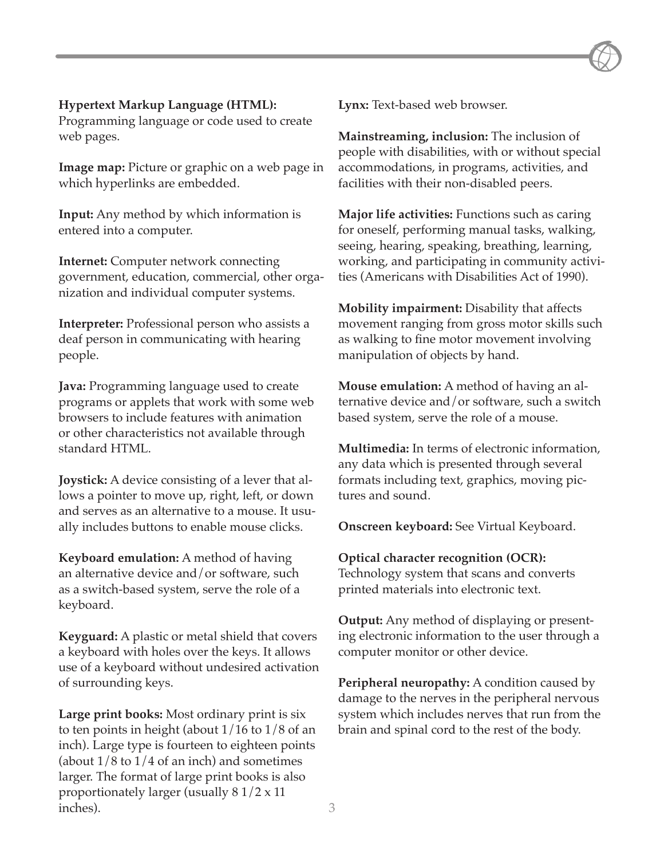## **Hypertext Markup Language (HTML):**

Programming language or code used to create web pages.

**Image map:** Picture or graphic on a web page in which hyperlinks are embedded.

**Input:** Any method by which information is entered into a computer.

**Internet:** Computer network connecting government, education, commercial, other organization and individual computer systems.

**Interpreter:** Professional person who assists a deaf person in communicating with hearing people.

**Java:** Programming language used to create programs or applets that work with some web browsers to include features with animation or other characteristics not available through standard HTML.

**Joystick:** A device consisting of a lever that allows a pointer to move up, right, left, or down and serves as an alternative to a mouse. It usually includes buttons to enable mouse clicks.

**Keyboard emulation:** A method of having an alternative device and/or software, such as a switch-based system, serve the role of a keyboard.

**Keyguard:** A plastic or metal shield that covers a keyboard with holes over the keys. It allows use of a keyboard without undesired activation of surrounding keys.

**Large print books:** Most ordinary print is six to ten points in height (about 1/16 to 1/8 of an inch). Large type is fourteen to eighteen points (about  $1/8$  to  $1/4$  of an inch) and sometimes larger. The format of large print books is also proportionately larger (usually 8 1/2 x 11 inches).

**Lynx:** Text-based web browser.

**Mainstreaming, inclusion:** The inclusion of people with disabilities, with or without special accommodations, in programs, activities, and facilities with their non-disabled peers.

**Major life activities:** Functions such as caring for oneself, performing manual tasks, walking, seeing, hearing, speaking, breathing, learning, working, and participating in community activities (Americans with Disabilities Act of 1990).

**Mobility impairment:** Disability that affects movement ranging from gross motor skills such as walking to fine motor movement involving manipulation of objects by hand.

**Mouse emulation:** A method of having an alternative device and/or software, such a switch based system, serve the role of a mouse.

**Multimedia:** In terms of electronic information, any data which is presented through several formats including text, graphics, moving pictures and sound.

**Onscreen keyboard:** See Virtual Keyboard.

**Optical character recognition (OCR):** Technology system that scans and converts printed materials into electronic text.

**Output:** Any method of displaying or presenting electronic information to the user through a computer monitor or other device.

**Peripheral neuropathy:** A condition caused by damage to the nerves in the peripheral nervous system which includes nerves that run from the brain and spinal cord to the rest of the body.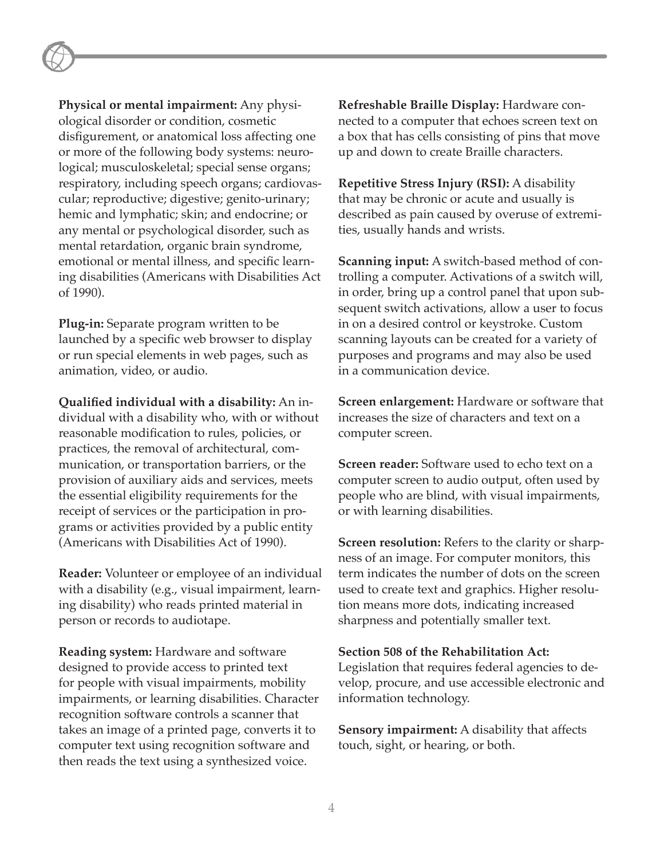**Physical or mental impairment:** Any physiological disorder or condition, cosmetic disfigurement, or anatomical loss affecting one or more of the following body systems: neurological; musculoskeletal; special sense organs; respiratory, including speech organs; cardiovascular; reproductive; digestive; genito-urinary; hemic and lymphatic; skin; and endocrine; or any mental or psychological disorder, such as mental retardation, organic brain syndrome, emotional or mental illness, and specific learning disabilities (Americans with Disabilities Act of 1990).

**Plug-in:** Separate program written to be launched by a specific web browser to display or run special elements in web pages, such as animation, video, or audio.

**Qualified individual with a disability:** An individual with a disability who, with or without reasonable modification to rules, policies, or practices, the removal of architectural, communication, or transportation barriers, or the provision of auxiliary aids and services, meets the essential eligibility requirements for the receipt of services or the participation in programs or activities provided by a public entity (Americans with Disabilities Act of 1990).

**Reader:** Volunteer or employee of an individual with a disability (e.g., visual impairment, learning disability) who reads printed material in person or records to audiotape.

**Reading system:** Hardware and software designed to provide access to printed text for people with visual impairments, mobility impairments, or learning disabilities. Character recognition software controls a scanner that takes an image of a printed page, converts it to computer text using recognition software and then reads the text using a synthesized voice.

**Refreshable Braille Display:** Hardware connected to a computer that echoes screen text on a box that has cells consisting of pins that move up and down to create Braille characters.

**Repetitive Stress Injury (RSI):** A disability that may be chronic or acute and usually is described as pain caused by overuse of extremities, usually hands and wrists.

**Scanning input:** A switch-based method of controlling a computer. Activations of a switch will, in order, bring up a control panel that upon subsequent switch activations, allow a user to focus in on a desired control or keystroke. Custom scanning layouts can be created for a variety of purposes and programs and may also be used in a communication device.

**Screen enlargement:** Hardware or software that increases the size of characters and text on a computer screen.

**Screen reader:** Software used to echo text on a computer screen to audio output, often used by people who are blind, with visual impairments, or with learning disabilities.

**Screen resolution:** Refers to the clarity or sharpness of an image. For computer monitors, this term indicates the number of dots on the screen used to create text and graphics. Higher resolution means more dots, indicating increased sharpness and potentially smaller text.

## **Section 508 of the Rehabilitation Act:**

Legislation that requires federal agencies to develop, procure, and use accessible electronic and information technology.

**Sensory impairment:** A disability that affects touch, sight, or hearing, or both.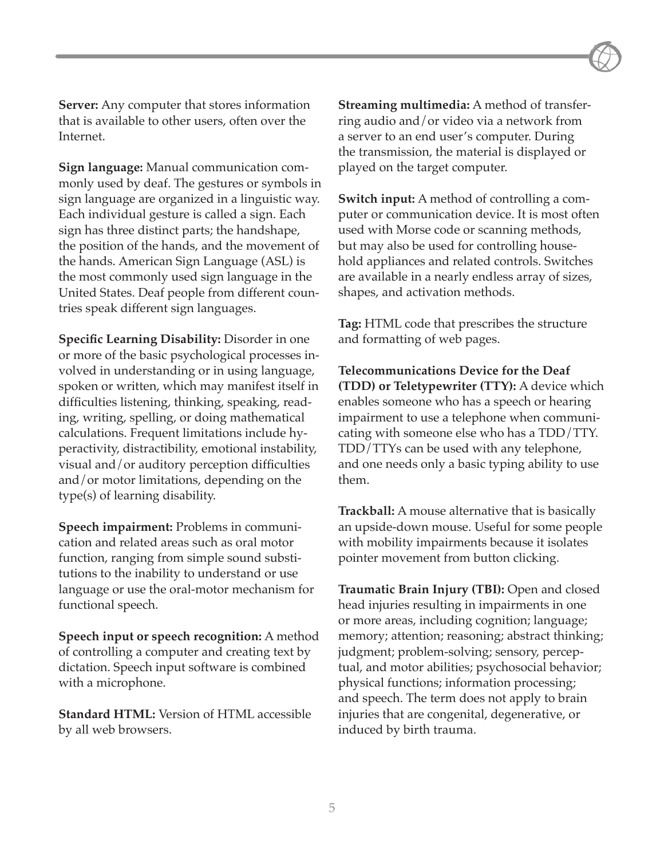**Server:** Any computer that stores information that is available to other users, often over the Internet.

**Sign language:** Manual communication commonly used by deaf. The gestures or symbols in sign language are organized in a linguistic way. Each individual gesture is called a sign. Each sign has three distinct parts; the handshape, the position of the hands, and the movement of the hands. American Sign Language (ASL) is the most commonly used sign language in the United States. Deaf people from different countries speak different sign languages.

**Specific Learning Disability:** Disorder in one or more of the basic psychological processes involved in understanding or in using language, spoken or written, which may manifest itself in difficulties listening, thinking, speaking, reading, writing, spelling, or doing mathematical calculations. Frequent limitations include hyperactivity, distractibility, emotional instability, visual and/or auditory perception difficulties and/or motor limitations, depending on the type(s) of learning disability.

**Speech impairment:** Problems in communication and related areas such as oral motor function, ranging from simple sound substitutions to the inability to understand or use language or use the oral-motor mechanism for functional speech.

**Speech input or speech recognition:** A method of controlling a computer and creating text by dictation. Speech input software is combined with a microphone.

**Standard HTML:** Version of HTML accessible by all web browsers.

**Streaming multimedia:** A method of transferring audio and/or video via a network from a server to an end user's computer. During the transmission, the material is displayed or played on the target computer.

**Switch input:** A method of controlling a computer or communication device. It is most often used with Morse code or scanning methods, but may also be used for controlling household appliances and related controls. Switches are available in a nearly endless array of sizes, shapes, and activation methods.

**Tag:** HTML code that prescribes the structure and formatting of web pages.

**Telecommunications Device for the Deaf (TDD) or Teletypewriter (TTY):** A device which enables someone who has a speech or hearing impairment to use a telephone when communicating with someone else who has a TDD/TTY. TDD/TTYs can be used with any telephone, and one needs only a basic typing ability to use them.

**Trackball:** A mouse alternative that is basically an upside-down mouse. Useful for some people with mobility impairments because it isolates pointer movement from button clicking.

**Traumatic Brain Injury (TBI):** Open and closed head injuries resulting in impairments in one or more areas, including cognition; language; memory; attention; reasoning; abstract thinking; judgment; problem-solving; sensory, perceptual, and motor abilities; psychosocial behavior; physical functions; information processing; and speech. The term does not apply to brain injuries that are congenital, degenerative, or induced by birth trauma.